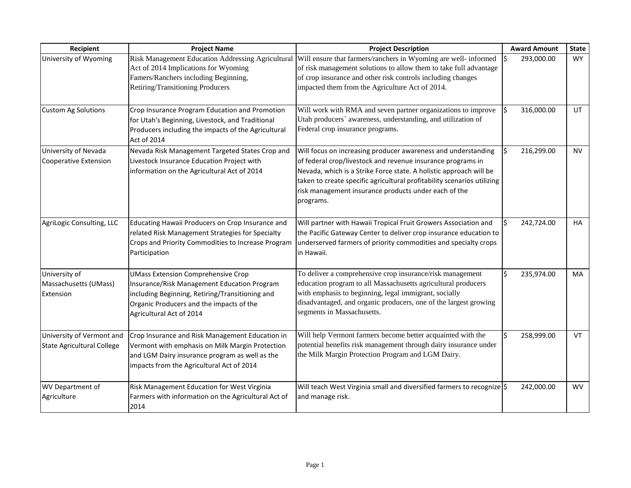| Recipient                                                      | <b>Project Name</b>                                                                                                                                                                                                 | <b>Project Description</b>                                                                                                                                                                                                                                                                                                                         | <b>Award Amount</b> | <b>State</b> |
|----------------------------------------------------------------|---------------------------------------------------------------------------------------------------------------------------------------------------------------------------------------------------------------------|----------------------------------------------------------------------------------------------------------------------------------------------------------------------------------------------------------------------------------------------------------------------------------------------------------------------------------------------------|---------------------|--------------|
| University of Wyoming                                          | Act of 2014 Implications for Wyoming<br>Famers/Ranchers including Beginning,<br>Retiring/Transitioning Producers                                                                                                    | Risk Management Education Addressing Agricultural Will ensure that farmers/ranchers in Wyoming are well- informed<br>of risk management solutions to allow them to take full advantage<br>of crop insurance and other risk controls including changes<br>impacted them from the Agriculture Act of 2014.                                           | 293,000.00          | WY           |
| <b>Custom Ag Solutions</b>                                     | Crop Insurance Program Education and Promotion<br>for Utah's Beginning, Livestock, and Traditional<br>Producers including the impacts of the Agricultural<br>Act of 2014                                            | Will work with RMA and seven partner organizations to improve<br>Utah producers' awareness, understanding, and utilization of<br>Federal crop insurance programs.                                                                                                                                                                                  | 316,000.00          | UT.          |
| University of Nevada<br><b>Cooperative Extension</b>           | Nevada Risk Management Targeted States Crop and<br>Livestock Insurance Education Project with<br>information on the Agricultural Act of 2014                                                                        | Will focus on increasing producer awareness and understanding<br>of federal crop/livestock and revenue insurance programs in<br>Nevada, which is a Strike Force state. A holistic approach will be<br>taken to create specific agricultural profitability scenarios utilizing<br>risk management insurance products under each of the<br>programs. | 216,299.00          | NV.          |
| AgriLogic Consulting, LLC                                      | Educating Hawaii Producers on Crop Insurance and<br>related Risk Management Strategies for Specialty<br>Crops and Priority Commodities to Increase Program<br>Participation                                         | Will partner with Hawaii Tropical Fruit Growers Association and<br>the Pacific Gateway Center to deliver crop insurance education to<br>underserved farmers of priority commodities and specialty crops<br>in Hawaii.                                                                                                                              | 242,724.00          | HA           |
| University of<br>Massachusetts (UMass)<br>Extension            | <b>UMass Extension Comprehensive Crop</b><br>Insurance/Risk Management Education Program<br>including Beginning, Retiring/Transitioning and<br>Organic Producers and the impacts of the<br>Agricultural Act of 2014 | To deliver a comprehensive crop insurance/risk management<br>education program to all Massachusetts agricultural producers<br>with emphasis to beginning, legal immigrant, socially<br>disadvantaged, and organic producers, one of the largest growing<br>segments in Massachusetts.                                                              | 235,974.00          | <b>MA</b>    |
| University of Vermont and<br><b>State Agricultural College</b> | Crop Insurance and Risk Management Education in<br>Vermont with emphasis on Milk Margin Protection<br>and LGM Dairy insurance program as well as the<br>impacts from the Agricultural Act of 2014                   | Will help Vermont farmers become better acquainted with the<br>potential benefits risk management through dairy insurance under<br>the Milk Margin Protection Program and LGM Dairy.                                                                                                                                                               | 258,999.00          | VT           |
| WV Department of<br>Agriculture                                | Risk Management Education for West Virginia<br>Farmers with information on the Agricultural Act of<br>2014                                                                                                          | Will teach West Virginia small and diversified farmers to recognize \$<br>and manage risk.                                                                                                                                                                                                                                                         | 242,000.00          | <b>WV</b>    |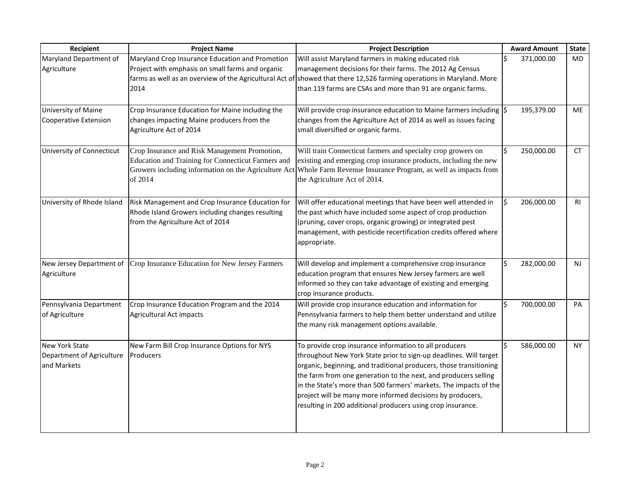| Recipient                                                         | <b>Project Name</b>                                                                                                                                                    | <b>Project Description</b>                                                                                                                                                                                                                                                                                                                                                                                                                                             | <b>Award Amount</b> | <b>State</b> |
|-------------------------------------------------------------------|------------------------------------------------------------------------------------------------------------------------------------------------------------------------|------------------------------------------------------------------------------------------------------------------------------------------------------------------------------------------------------------------------------------------------------------------------------------------------------------------------------------------------------------------------------------------------------------------------------------------------------------------------|---------------------|--------------|
| Maryland Department of<br>Agriculture                             | Maryland Crop Insurance Education and Promotion<br>Project with emphasis on small farms and organic<br>2014                                                            | Will assist Maryland farmers in making educated risk<br>management decisions for their farms. The 2012 Ag Census<br>farms as well as an overview of the Agricultural Act of showed that there 12,526 farming operations in Maryland. More<br>than 119 farms are CSAs and more than 91 are organic farms.                                                                                                                                                               | 371,000.00          | MD           |
| University of Maine<br>Cooperative Extension                      | Crop Insurance Education for Maine including the<br>changes impacting Maine producers from the<br>Agriculture Act of 2014                                              | Will provide crop insurance education to Maine farmers including $\left \xi\right $<br>changes from the Agriculture Act of 2014 as well as issues facing<br>small diversified or organic farms.                                                                                                                                                                                                                                                                        | 195,379.00          | ME           |
| University of Connecticut                                         | Crop Insurance and Risk Management Promotion,<br>Education and Training for Connecticut Farmers and<br>Growers including information on the Agriculture Act<br>of 2014 | Will train Connecticut farmers and specialty crop growers on<br>existing and emerging crop insurance products, including the new<br>Whole Farm Revenue Insurance Program, as well as impacts from<br>the Agriculture Act of 2014.                                                                                                                                                                                                                                      | 250,000.00          | CT           |
| University of Rhode Island                                        | Risk Management and Crop Insurance Education for<br>Rhode Island Growers including changes resulting<br>from the Agriculture Act of 2014                               | Will offer educational meetings that have been well attended in<br>the past which have included some aspect of crop production<br>(pruning, cover crops, organic growing) or integrated pest<br>management, with pesticide recertification credits offered where<br>appropriate.                                                                                                                                                                                       | 206,000.00<br>l\$   | <b>RI</b>    |
| New Jersey Department of<br>Agriculture                           | Crop Insurance Education for New Jersey Farmers                                                                                                                        | Will develop and implement a comprehensive crop insurance<br>education program that ensures New Jersey farmers are well<br>informed so they can take advantage of existing and emerging<br>crop insurance products.                                                                                                                                                                                                                                                    | 282,000.00          | <b>NJ</b>    |
| Pennsylvania Department<br>of Agriculture                         | Crop Insurance Education Program and the 2014<br><b>Agricultural Act impacts</b>                                                                                       | Will provide crop insurance education and information for<br>Pennsylvania farmers to help them better understand and utilize<br>the many risk management options available.                                                                                                                                                                                                                                                                                            | 700,000.00          | PA           |
| <b>New York State</b><br>Department of Agriculture<br>and Markets | New Farm Bill Crop Insurance Options for NYS<br>Producers                                                                                                              | To provide crop insurance information to all producers<br>throughout New York State prior to sign-up deadlines. Will target<br>organic, beginning, and traditional producers, those transitioning<br>the farm from one generation to the next, and producers selling<br>in the State's more than 500 farmers' markets. The impacts of the<br>project will be many more informed decisions by producers,<br>resulting in 200 additional producers using crop insurance. | 586,000.00          | <b>NY</b>    |